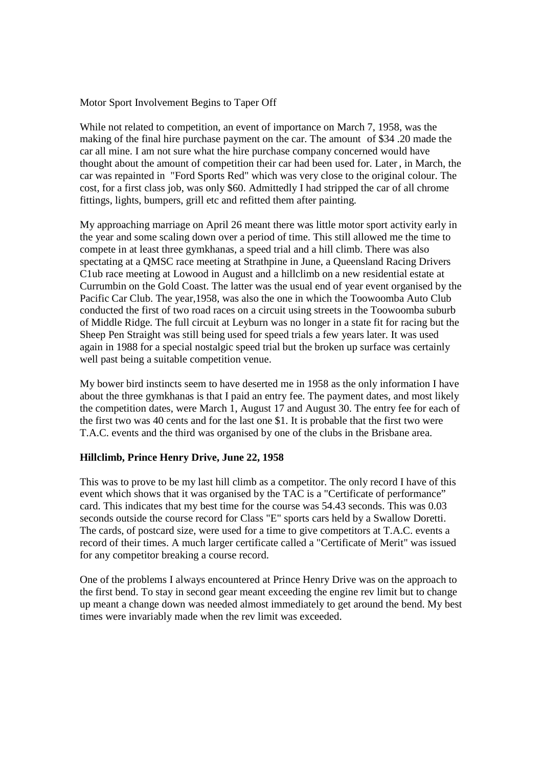Motor Sport Involvement Begins to Taper Off

While not related to competition, an event of importance on March 7, 1958, was the making of the final hire purchase payment on the car. The amount of \$34 .20 made the car all mine. I am not sure what the hire purchase company concerned would have thought about the amount of competition their car had been used for. Later, in March, the car was repainted in "Ford Sports Red" which was very close to the original colour. The cost, for a first class job, was only \$60. Admittedly I had stripped the car of all chrome fittings, lights, bumpers, grill etc and refitted them after painting.

My approaching marriage on April 26 meant there was little motor sport activity early in the year and some scaling down over a period of time. This still allowed me the time to compete in at least three gymkhanas, a speed trial and a hill climb. There was also spectating at a QMSC race meeting at Strathpine in June, a Queensland Racing Drivers C1ub race meeting at Lowood in August and a hillclimb on a new residential estate at Currumbin on the Gold Coast. The latter was the usual end of year event organised by the Pacific Car Club. The year,1958, was also the one in which the Toowoomba Auto Club conducted the first of two road races on a circuit using streets in the Toowoomba suburb of Middle Ridge. The full circuit at Leyburn was no longer in a state fit for racing but the Sheep Pen Straight was still being used for speed trials a few years later. It was used again in 1988 for a special nostalgic speed trial but the broken up surface was certainly well past being a suitable competition venue.

My bower bird instincts seem to have deserted me in 1958 as the only information I have about the three gymkhanas is that I paid an entry fee. The payment dates, and most likely the competition dates, were March 1, August 17 and August 30. The entry fee for each of the first two was 40 cents and for the last one \$1. It is probable that the first two were T.A.C. events and the third was organised by one of the clubs in the Brisbane area.

# **Hillclimb, Prince Henry Drive, June 22, 1958**

This was to prove to be my last hill climb as a competitor. The only record I have of this event which shows that it was organised by the TAC is a "Certificate of performance" card. This indicates that my best time for the course was 54.43 seconds. This was 0.03 seconds outside the course record for Class "E" sports cars held by a Swallow Doretti. The cards, of postcard size, were used for a time to give competitors at T.A.C. events a record of their times. A much larger certificate called a "Certificate of Merit" was issued for any competitor breaking a course record.

One of the problems I always encountered at Prince Henry Drive was on the approach to the first bend. To stay in second gear meant exceeding the engine rev limit but to change up meant a change down was needed almost immediately to get around the bend. My best times were invariably made when the rev limit was exceeded.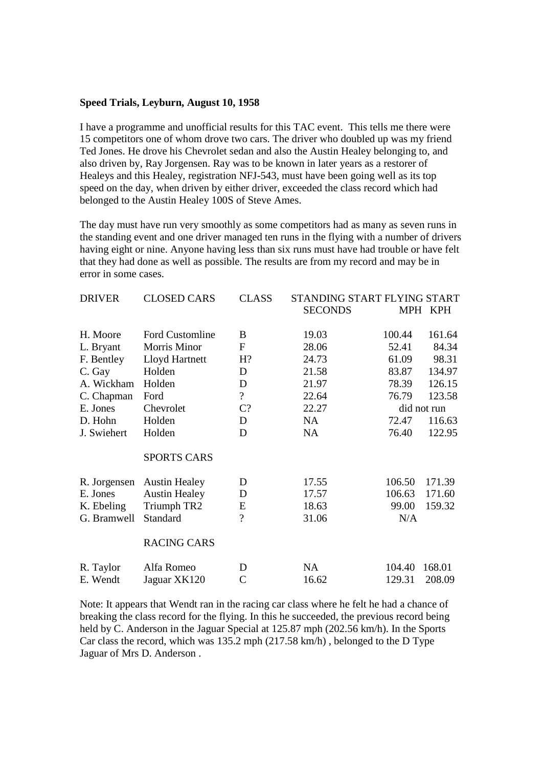#### **Speed Trials, Leyburn, August 10, 1958**

I have a programme and unofficial results for this TAC event. This tells me there were 15 competitors one of whom drove two cars. The driver who doubled up was my friend Ted Jones. He drove his Chevrolet sedan and also the Austin Healey belonging to, and also driven by, Ray Jorgensen. Ray was to be known in later years as a restorer of Healeys and this Healey, registration NFJ-543, must have been going well as its top speed on the day, when driven by either driver, exceeded the class record which had belonged to the Austin Healey 100S of Steve Ames.

The day must have run very smoothly as some competitors had as many as seven runs in the standing event and one driver managed ten runs in the flying with a number of drivers having eight or nine. Anyone having less than six runs must have had trouble or have felt that they had done as well as possible. The results are from my record and may be in error in some cases.

| <b>DRIVER</b> | <b>CLOSED CARS</b>     | <b>CLASS</b>             | STANDING START FLYING START |        |             |  |
|---------------|------------------------|--------------------------|-----------------------------|--------|-------------|--|
|               |                        |                          | <b>SECONDS</b>              |        | MPH KPH     |  |
| H. Moore      | <b>Ford Customline</b> | B                        | 19.03                       | 100.44 | 161.64      |  |
| L. Bryant     | Morris Minor           | $\mathbf{F}$             | 28.06                       | 52.41  | 84.34       |  |
| F. Bentley    | Lloyd Hartnett         | H?                       | 24.73                       | 61.09  | 98.31       |  |
| C. Gay        | Holden                 | D                        | 21.58                       | 83.87  | 134.97      |  |
| A. Wickham    | Holden                 | D                        | 21.97                       | 78.39  | 126.15      |  |
| C. Chapman    | Ford                   | $\overline{\mathcal{L}}$ | 22.64                       | 76.79  | 123.58      |  |
| E. Jones      | Chevrolet              | $C$ ?                    | 22.27                       |        | did not run |  |
| D. Hohn       | Holden                 | D                        | NA                          | 72.47  | 116.63      |  |
| J. Swiehert   | Holden                 | D                        | <b>NA</b>                   | 76.40  | 122.95      |  |
|               | <b>SPORTS CARS</b>     |                          |                             |        |             |  |
| R. Jorgensen  | <b>Austin Healey</b>   | D                        | 17.55                       | 106.50 | 171.39      |  |
| E. Jones      | <b>Austin Healey</b>   | D                        | 17.57                       | 106.63 | 171.60      |  |
| K. Ebeling    | Triumph TR2            | E                        | 18.63                       | 99.00  | 159.32      |  |
| G. Bramwell   | Standard               | $\overline{\mathcal{L}}$ | 31.06                       | N/A    |             |  |
|               | <b>RACING CARS</b>     |                          |                             |        |             |  |
| R. Taylor     | Alfa Romeo             | D                        | <b>NA</b>                   | 104.40 | 168.01      |  |
| E. Wendt      | Jaguar XK120           | $\mathcal{C}$            | 16.62                       | 129.31 | 208.09      |  |

Note: It appears that Wendt ran in the racing car class where he felt he had a chance of breaking the class record for the flying. In this he succeeded, the previous record being held by C. Anderson in the Jaguar Special at 125.87 mph (202.56 km/h). In the Sports Car class the record, which was 135.2 mph (217.58 km/h) , belonged to the D Type Jaguar of Mrs D. Anderson .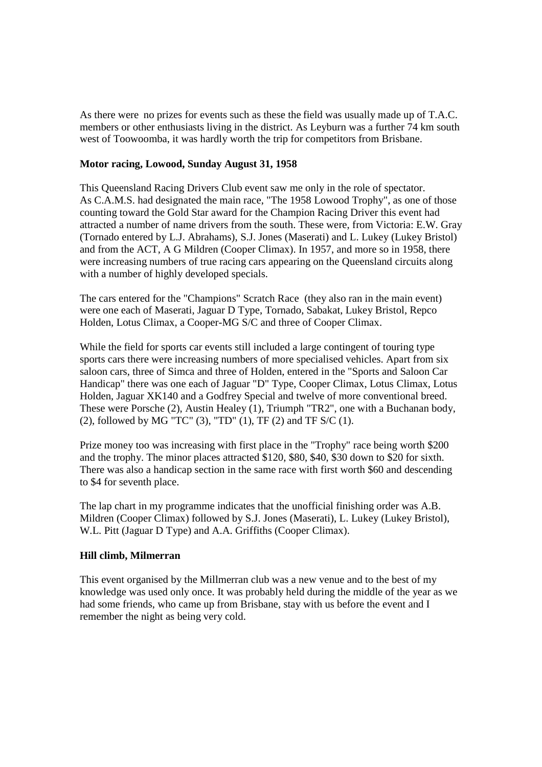As there were no prizes for events such as these the field was usually made up of T.A.C. members or other enthusiasts living in the district. As Leyburn was a further 74 km south west of Toowoomba, it was hardly worth the trip for competitors from Brisbane.

### **Motor racing, Lowood, Sunday August 31, 1958**

This Queensland Racing Drivers Club event saw me only in the role of spectator. As C.A.M.S. had designated the main race, "The 1958 Lowood Trophy", as one of those counting toward the Gold Star award for the Champion Racing Driver this event had attracted a number of name drivers from the south. These were, from Victoria: E.W. Gray (Tornado entered by L.J. Abrahams), S.J. Jones (Maserati) and L. Lukey (Lukey Bristol) and from the ACT, A G Mildren (Cooper Climax). In 1957, and more so in 1958, there were increasing numbers of true racing cars appearing on the Queensland circuits along with a number of highly developed specials.

The cars entered for the "Champions" Scratch Race (they also ran in the main event) were one each of Maserati, Jaguar D Type, Tornado, Sabakat, Lukey Bristol, Repco Holden, Lotus Climax, a Cooper-MG S/C and three of Cooper Climax.

While the field for sports car events still included a large contingent of touring type sports cars there were increasing numbers of more specialised vehicles. Apart from six saloon cars, three of Simca and three of Holden, entered in the "Sports and Saloon Car Handicap" there was one each of Jaguar "D" Type, Cooper Climax, Lotus Climax, Lotus Holden, Jaguar XK140 and a Godfrey Special and twelve of more conventional breed. These were Porsche (2), Austin Healey (1), Triumph "TR2", one with a Buchanan body, (2), followed by MG "TC" (3), "TD" (1), TF (2) and TF S/C (1).

Prize money too was increasing with first place in the "Trophy" race being worth \$200 and the trophy. The minor places attracted \$120, \$80, \$40, \$30 down to \$20 for sixth. There was also a handicap section in the same race with first worth \$60 and descending to \$4 for seventh place.

The lap chart in my programme indicates that the unofficial finishing order was A.B. Mildren (Cooper Climax) followed by S.J. Jones (Maserati), L. Lukey (Lukey Bristol), W.L. Pitt (Jaguar D Type) and A.A. Griffiths (Cooper Climax).

# **Hill climb, Milmerran**

This event organised by the Millmerran club was a new venue and to the best of my knowledge was used only once. It was probably held during the middle of the year as we had some friends, who came up from Brisbane, stay with us before the event and I remember the night as being very cold.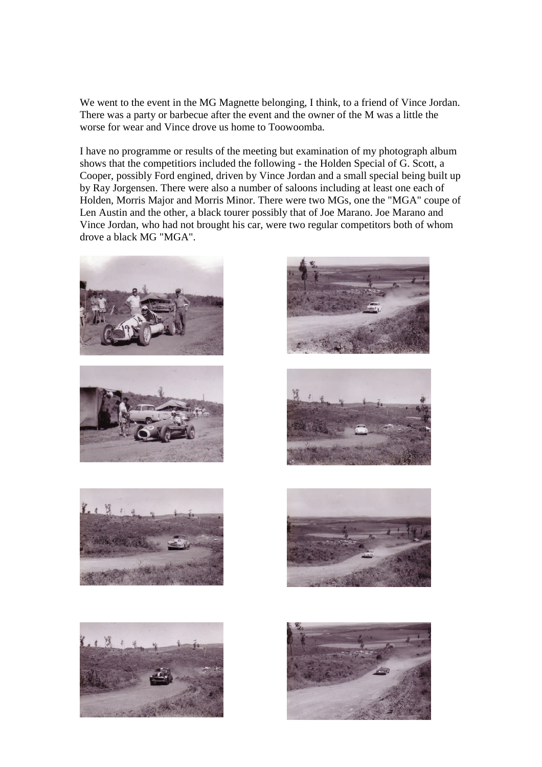We went to the event in the MG Magnette belonging, I think, to a friend of Vince Jordan. There was a party or barbecue after the event and the owner of the M was a little the worse for wear and Vince drove us home to Toowoomba.

I have no programme or results of the meeting but examination of my photograph album shows that the competitiors included the following - the Holden Special of G. Scott, a Cooper, possibly Ford engined, driven by Vince Jordan and a small special being built up by Ray Jorgensen. There were also a number of saloons including at least one each of Holden, Morris Major and Morris Minor. There were two MGs, one the "MGA" coupe of Len Austin and the other, a black tourer possibly that of Joe Marano. Joe Marano and Vince Jordan, who had not brought his car, were two regular competitors both of whom drove a black MG "MGA".















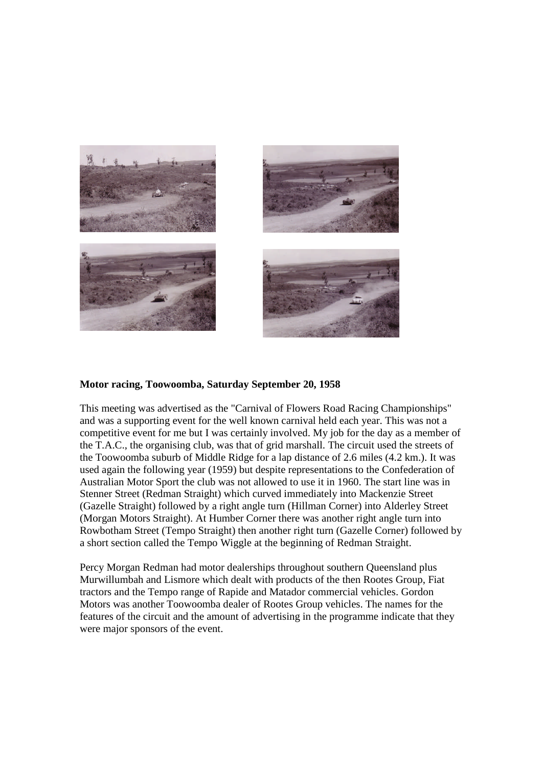

### **Motor racing, Toowoomba, Saturday September 20, 1958**

This meeting was advertised as the "Carnival of Flowers Road Racing Championships" and was a supporting event for the well known carnival held each year. This was not a competitive event for me but I was certainly involved. My job for the day as a member of the T.A.C., the organising club, was that of grid marshall. The circuit used the streets of the Toowoomba suburb of Middle Ridge for a lap distance of 2.6 miles (4.2 km.). It was used again the following year (1959) but despite representations to the Confederation of Australian Motor Sport the club was not allowed to use it in 1960. The start line was in Stenner Street (Redman Straight) which curved immediately into Mackenzie Street (Gazelle Straight) followed by a right angle turn (Hillman Corner) into Alderley Street (Morgan Motors Straight). At Humber Corner there was another right angle turn into Rowbotham Street (Tempo Straight) then another right turn (Gazelle Corner) followed by a short section called the Tempo Wiggle at the beginning of Redman Straight.

Percy Morgan Redman had motor dealerships throughout southern Queensland plus Murwillumbah and Lismore which dealt with products of the then Rootes Group, Fiat tractors and the Tempo range of Rapide and Matador commercial vehicles. Gordon Motors was another Toowoomba dealer of Rootes Group vehicles. The names for the features of the circuit and the amount of advertising in the programme indicate that they were major sponsors of the event.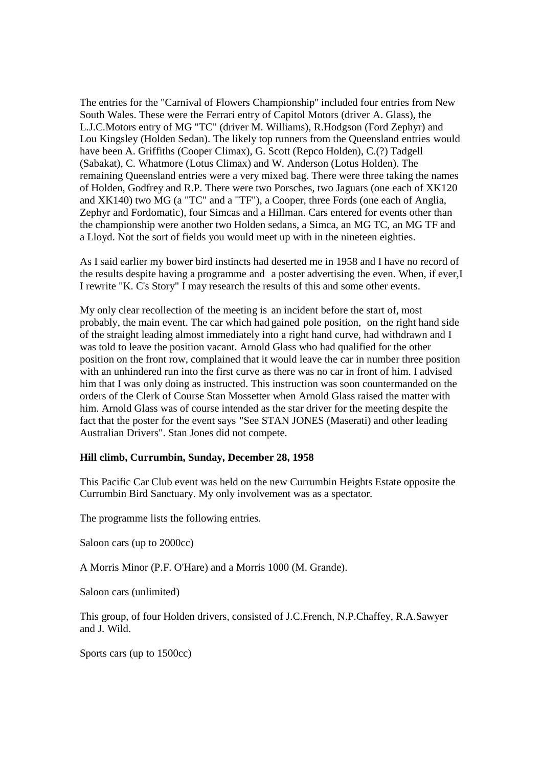The entries for the "Carnival of Flowers Championship'' included four entries from New South Wales. These were the Ferrari entry of Capitol Motors (driver A. Glass), the L.J.C.Motors entry of MG "TC" (driver M. Williams), R.Hodgson (Ford Zephyr) and Lou Kingsley (Holden Sedan). The likely top runners from the Queensland entries would have been A. Griffiths (Cooper Climax), G. Scott (Repco Holden), C.(?) Tadgell (Sabakat), C. Whatmore (Lotus Climax) and W. Anderson (Lotus Holden). The remaining Queensland entries were a very mixed bag. There were three taking the names of Holden, Godfrey and R.P. There were two Porsches, two Jaguars (one each of XK120 and XK140) two MG (a "TC" and a "TF"), a Cooper, three Fords (one each of Anglia, Zephyr and Fordomatic), four Simcas and a Hillman. Cars entered for events other than the championship were another two Holden sedans, a Simca, an MG TC, an MG TF and a Lloyd. Not the sort of fields you would meet up with in the nineteen eighties.

As I said earlier my bower bird instincts had deserted me in 1958 and I have no record of the results despite having a programme and a poster advertising the even. When, if ever,I I rewrite "K. C's Story" I may research the results of this and some other events.

My only clear recollection of the meeting is an incident before the start of, most probably, the main event. The car which had gained pole position, on the right hand side of the straight leading almost immediately into a right hand curve, had withdrawn and I was told to leave the position vacant. Arnold Glass who had qualified for the other position on the front row, complained that it would leave the car in number three position with an unhindered run into the first curve as there was no car in front of him. I advised him that I was only doing as instructed. This instruction was soon countermanded on the orders of the Clerk of Course Stan Mossetter when Arnold Glass raised the matter with him. Arnold Glass was of course intended as the star driver for the meeting despite the fact that the poster for the event says "See STAN JONES (Maserati) and other leading Australian Drivers". Stan Jones did not compete.

#### **Hill climb, Currumbin, Sunday, December 28, 1958**

This Pacific Car Club event was held on the new Currumbin Heights Estate opposite the Currumbin Bird Sanctuary. My only involvement was as a spectator.

The programme lists the following entries.

Saloon cars (up to 2000cc)

A Morris Minor (P.F. O'Hare) and a Morris 1000 (M. Grande).

Saloon cars (unlimited)

This group, of four Holden drivers, consisted of J.C.French, N.P.Chaffey, R.A.Sawyer and J. Wild.

Sports cars (up to 1500cc)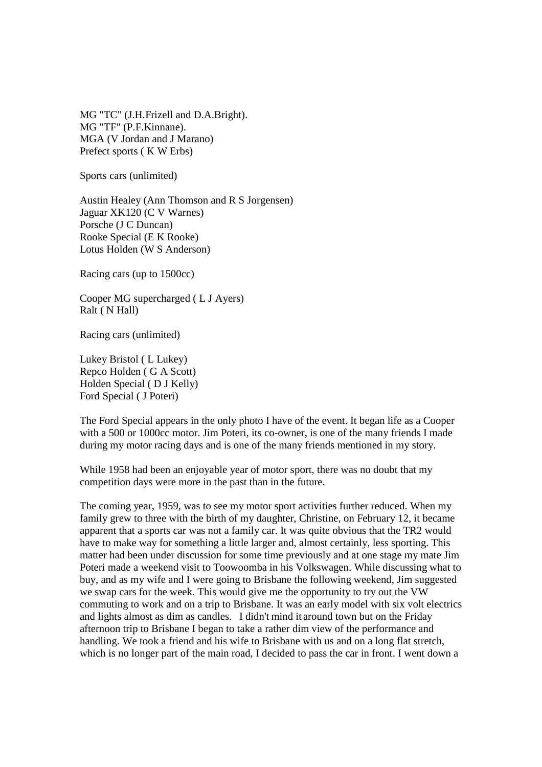MG "TC" (J.H.Frizell and D.A.Bright). MG "TF" (P.F.Kinnane). MGA (V Jordan and J Marano) Prefect sports ( K W Erbs)

Sports cars (unlimited)

Austin Healey (Ann Thomson and R S Jorgensen) Jaguar XK120 (C V Warnes) Porsche (J C Duncan) Rooke Special (E K Rooke) Lotus Holden (W S Anderson)

Racing cars (up to 1500cc)

Cooper MG supercharged ( L J Ayers) Ralt ( N Hall)

Racing cars (unlimited)

Lukey Bristol ( L Lukey) Repco Holden ( G A Scott) Holden Special ( D J Kelly) Ford Special ( J Poteri)

The Ford Special appears in the only photo I have of the event. It began life as a Cooper with a 500 or 1000cc motor. Jim Poteri, its co-owner, is one of the many friends I made during my motor racing days and is one of the many friends mentioned in my story.

While 1958 had been an enjoyable year of motor sport, there was no doubt that my competition days were more in the past than in the future.

The coming year, 1959, was to see my motor sport activities further reduced. When my family grew to three with the birth of my daughter, Christine, on February 12, it became apparent that a sports car was not a family car. It was quite obvious that the TR2 would have to make way for something a little larger and, almost certainly, less sporting. This matter had been under discussion for some time previously and at one stage my mate Jim Poteri made a weekend visit to Toowoomba in his Volkswagen. While discussing what to buy, and as my wife and I were going to Brisbane the following weekend, Jim suggested we swap cars for the week. This would give me the opportunity to try out the VW commuting to work and on a trip to Brisbane. It was an early model with six volt electrics and lights almost as dim as candles. I didn't mind it around town but on the Friday afternoon trip to Brisbane I began to take a rather dim view of the performance and handling. We took a friend and his wife to Brisbane with us and on a long flat stretch, which is no longer part of the main road, I decided to pass the car in front. I went down a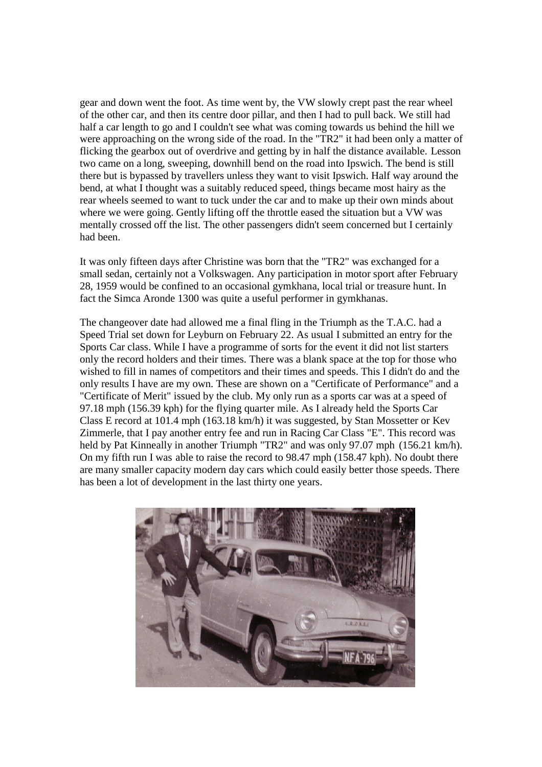gear and down went the foot. As time went by, the VW slowly crept past the rear wheel of the other car, and then its centre door pillar, and then I had to pull back. We still had half a car length to go and I couldn't see what was coming towards us behind the hill we were approaching on the wrong side of the road. In the "TR2" it had been only a matter of flicking the gearbox out of overdrive and getting by in half the distance available. Lesson two came on a long, sweeping, downhill bend on the road into Ipswich. The bend is still there but is bypassed by travellers unless they want to visit Ipswich. Half way around the bend, at what I thought was a suitably reduced speed, things became most hairy as the rear wheels seemed to want to tuck under the car and to make up their own minds about where we were going. Gently lifting off the throttle eased the situation but a VW was mentally crossed off the list. The other passengers didn't seem concerned but I certainly had been.

It was only fifteen days after Christine was born that the "TR2" was exchanged for a small sedan, certainly not a Volkswagen. Any participation in motor sport after February 28, 1959 would be confined to an occasional gymkhana, local trial or treasure hunt. In fact the Simca Aronde 1300 was quite a useful performer in gymkhanas.

The changeover date had allowed me a final fling in the Triumph as the T.A.C. had a Speed Trial set down for Leyburn on February 22. As usual I submitted an entry for the Sports Car class. While I have a programme of sorts for the event it did not list starters only the record holders and their times. There was a blank space at the top for those who wished to fill in names of competitors and their times and speeds. This I didn't do and the only results I have are my own. These are shown on a "Certificate of Performance" and a "Certificate of Merit" issued by the club. My only run as a sports car was at a speed of 97.18 mph (156.39 kph) for the flying quarter mile. As I already held the Sports Car Class E record at 101.4 mph (163.18 km/h) it was suggested, by Stan Mossetter or Kev Zimmerle, that I pay another entry fee and run in Racing Car Class "E". This record was held by Pat Kinneally in another Triumph "TR2" and was only 97.07 mph (156.21 km/h). On my fifth run I was able to raise the record to 98.47 mph (158.47 kph). No doubt there are many smaller capacity modern day cars which could easily better those speeds. There has been a lot of development in the last thirty one years.

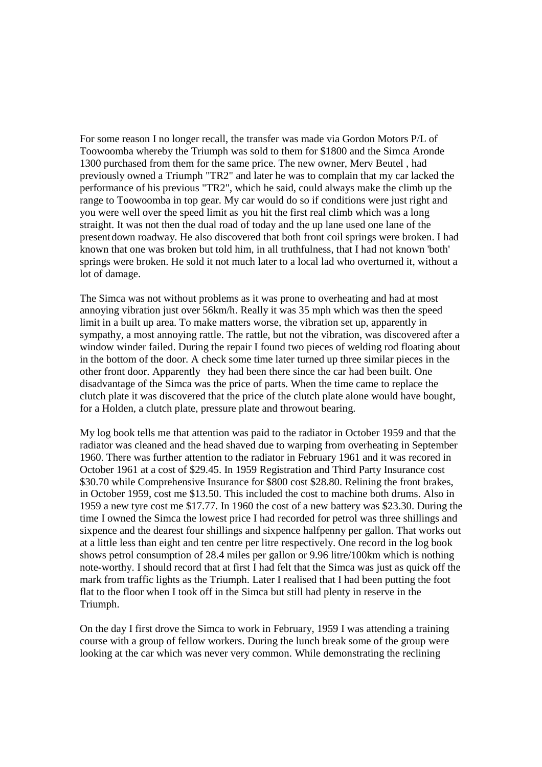For some reason I no longer recall, the transfer was made via Gordon Motors P/L of Toowoomba whereby the Triumph was sold to them for \$1800 and the Simca Aronde 1300 purchased from them for the same price. The new owner, Merv Beutel , had previously owned a Triumph "TR2" and later he was to complain that my car lacked the performance of his previous "TR2", which he said, could always make the climb up the range to Toowoomba in top gear. My car would do so if conditions were just right and you were well over the speed limit as you hit the first real climb which was a long straight. It was not then the dual road of today and the up lane used one lane of the presentdown roadway. He also discovered that both front coil springs were broken. I had known that one was broken but told him, in all truthfulness, that I had not known 'both' springs were broken. He sold it not much later to a local lad who overturned it, without a lot of damage.

The Simca was not without problems as it was prone to overheating and had at most annoying vibration just over 56km/h. Really it was 35 mph which was then the speed limit in a built up area. To make matters worse, the vibration set up, apparently in sympathy, a most annoying rattle. The rattle, but not the vibration, was discovered after a window winder failed. During the repair I found two pieces of welding rod floating about in the bottom of the door. A check some time later turned up three similar pieces in the other front door. Apparently they had been there since the car had been built. One disadvantage of the Simca was the price of parts. When the time came to replace the clutch plate it was discovered that the price of the clutch plate alone would have bought, for a Holden, a clutch plate, pressure plate and throwout bearing.

My log book tells me that attention was paid to the radiator in October 1959 and that the radiator was cleaned and the head shaved due to warping from overheating in September 1960. There was further attention to the radiator in February 1961 and it was recored in October 1961 at a cost of \$29.45. In 1959 Registration and Third Party Insurance cost \$30.70 while Comprehensive Insurance for \$800 cost \$28.80. Relining the front brakes, in October 1959, cost me \$13.50. This included the cost to machine both drums. Also in 1959 a new tyre cost me \$17.77. In 1960 the cost of a new battery was \$23.30. During the time I owned the Simca the lowest price I had recorded for petrol was three shillings and sixpence and the dearest four shillings and sixpence halfpenny per gallon. That works out at a little less than eight and ten centre per litre respectively. One record in the log book shows petrol consumption of 28.4 miles per gallon or 9.96 litre/100km which is nothing note-worthy. I should record that at first I had felt that the Simca was just as quick off the mark from traffic lights as the Triumph. Later I realised that I had been putting the foot flat to the floor when I took off in the Simca but still had plenty in reserve in the Triumph.

On the day I first drove the Simca to work in February, 1959 I was attending a training course with a group of fellow workers. During the lunch break some of the group were looking at the car which was never very common. While demonstrating the reclining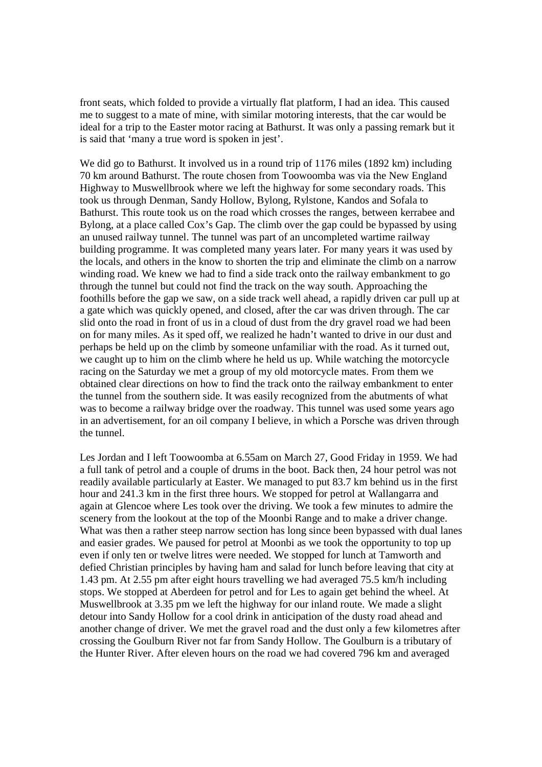front seats, which folded to provide a virtually flat platform, I had an idea. This caused me to suggest to a mate of mine, with similar motoring interests, that the car would be ideal for a trip to the Easter motor racing at Bathurst. It was only a passing remark but it is said that 'many a true word is spoken in jest'.

We did go to Bathurst. It involved us in a round trip of 1176 miles (1892 km) including 70 km around Bathurst. The route chosen from Toowoomba was via the New England Highway to Muswellbrook where we left the highway for some secondary roads. This took us through Denman, Sandy Hollow, Bylong, Rylstone, Kandos and Sofala to Bathurst. This route took us on the road which crosses the ranges, between kerrabee and Bylong, at a place called Cox's Gap. The climb over the gap could be bypassed by using an unused railway tunnel. The tunnel was part of an uncompleted wartime railway building programme. It was completed many years later. For many years it was used by the locals, and others in the know to shorten the trip and eliminate the climb on a narrow winding road. We knew we had to find a side track onto the railway embankment to go through the tunnel but could not find the track on the way south. Approaching the foothills before the gap we saw, on a side track well ahead, a rapidly driven car pull up at a gate which was quickly opened, and closed, after the car was driven through. The car slid onto the road in front of us in a cloud of dust from the dry gravel road we had been on for many miles. As it sped off, we realized he hadn't wanted to drive in our dust and perhaps be held up on the climb by someone unfamiliar with the road. As it turned out, we caught up to him on the climb where he held us up. While watching the motorcycle racing on the Saturday we met a group of my old motorcycle mates. From them we obtained clear directions on how to find the track onto the railway embankment to enter the tunnel from the southern side. It was easily recognized from the abutments of what was to become a railway bridge over the roadway. This tunnel was used some years ago in an advertisement, for an oil company I believe, in which a Porsche was driven through the tunnel.

Les Jordan and I left Toowoomba at 6.55am on March 27, Good Friday in 1959. We had a full tank of petrol and a couple of drums in the boot. Back then, 24 hour petrol was not readily available particularly at Easter. We managed to put 83.7 km behind us in the first hour and 241.3 km in the first three hours. We stopped for petrol at Wallangarra and again at Glencoe where Les took over the driving. We took a few minutes to admire the scenery from the lookout at the top of the Moonbi Range and to make a driver change. What was then a rather steep narrow section has long since been bypassed with dual lanes and easier grades. We paused for petrol at Moonbi as we took the opportunity to top up even if only ten or twelve litres were needed. We stopped for lunch at Tamworth and defied Christian principles by having ham and salad for lunch before leaving that city at 1.43 pm. At 2.55 pm after eight hours travelling we had averaged 75.5 km/h including stops. We stopped at Aberdeen for petrol and for Les to again get behind the wheel. At Muswellbrook at 3.35 pm we left the highway for our inland route. We made a slight detour into Sandy Hollow for a cool drink in anticipation of the dusty road ahead and another change of driver. We met the gravel road and the dust only a few kilometres after crossing the Goulburn River not far from Sandy Hollow. The Goulburn is a tributary of the Hunter River. After eleven hours on the road we had covered 796 km and averaged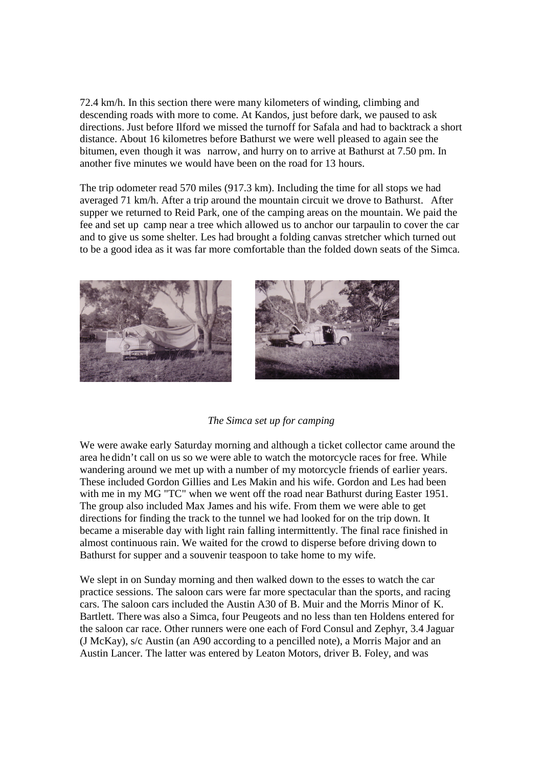72.4 km/h. In this section there were many kilometers of winding, climbing and descending roads with more to come. At Kandos, just before dark, we paused to ask directions. Just before Ilford we missed the turnoff for Safala and had to backtrack a short distance. About 16 kilometres before Bathurst we were well pleased to again see the bitumen, even though it was narrow, and hurry on to arrive at Bathurst at 7.50 pm. In another five minutes we would have been on the road for 13 hours.

The trip odometer read 570 miles (917.3 km). Including the time for all stops we had averaged 71 km/h. After a trip around the mountain circuit we drove to Bathurst. After supper we returned to Reid Park, one of the camping areas on the mountain. We paid the fee and set up camp near a tree which allowed us to anchor our tarpaulin to cover the car and to give us some shelter. Les had brought a folding canvas stretcher which turned out to be a good idea as it was far more comfortable than the folded down seats of the Simca.



#### *The Simca set up for camping*

We were awake early Saturday morning and although a ticket collector came around the area he didn't call on us so we were able to watch the motorcycle races for free. While wandering around we met up with a number of my motorcycle friends of earlier years. These included Gordon Gillies and Les Makin and his wife. Gordon and Les had been with me in my MG "TC" when we went off the road near Bathurst during Easter 1951. The group also included Max James and his wife. From them we were able to get directions for finding the track to the tunnel we had looked for on the trip down. It became a miserable day with light rain falling intermittently. The final race finished in almost continuous rain. We waited for the crowd to disperse before driving down to Bathurst for supper and a souvenir teaspoon to take home to my wife.

We slept in on Sunday morning and then walked down to the esses to watch the car practice sessions. The saloon cars were far more spectacular than the sports, and racing cars. The saloon cars included the Austin A30 of B. Muir and the Morris Minor of K. Bartlett. There was also a Simca, four Peugeots and no less than ten Holdens entered for the saloon car race. Other runners were one each of Ford Consul and Zephyr, 3.4 Jaguar (J McKay), s/c Austin (an A90 according to a pencilled note), a Morris Major and an Austin Lancer. The latter was entered by Leaton Motors, driver B. Foley, and was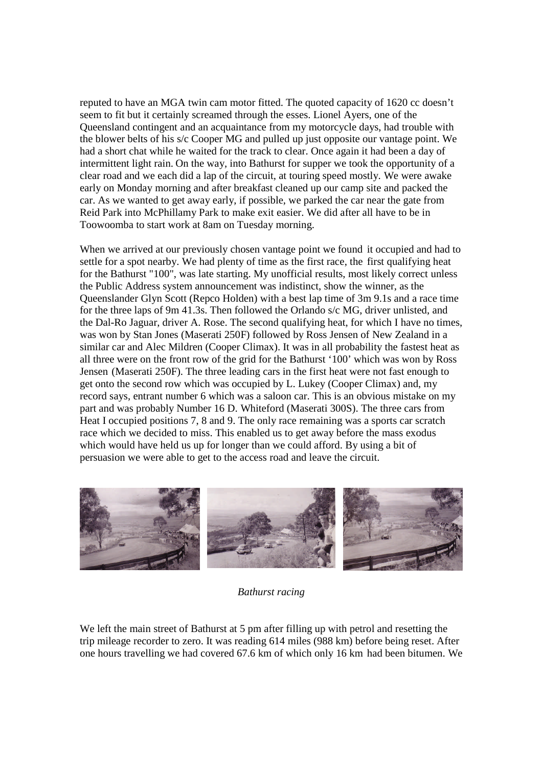reputed to have an MGA twin cam motor fitted. The quoted capacity of 1620 cc doesn't seem to fit but it certainly screamed through the esses. Lionel Ayers, one of the Queensland contingent and an acquaintance from my motorcycle days, had trouble with the blower belts of his s/c Cooper MG and pulled up just opposite our vantage point. We had a short chat while he waited for the track to clear. Once again it had been a day of intermittent light rain. On the way, into Bathurst for supper we took the opportunity of a clear road and we each did a lap of the circuit, at touring speed mostly. We were awake early on Monday morning and after breakfast cleaned up our camp site and packed the car. As we wanted to get away early, if possible, we parked the car near the gate from Reid Park into McPhillamy Park to make exit easier. We did after all have to be in Toowoomba to start work at 8am on Tuesday morning.

When we arrived at our previously chosen vantage point we found it occupied and had to settle for a spot nearby. We had plenty of time as the first race, the first qualifying heat for the Bathurst "100", was late starting. My unofficial results, most likely correct unless the Public Address system announcement was indistinct, show the winner, as the Queenslander Glyn Scott (Repco Holden) with a best lap time of 3m 9.1s and a race time for the three laps of 9m 41.3s. Then followed the Orlando s/c MG, driver unlisted, and the Dal-Ro Jaguar, driver A. Rose. The second qualifying heat, for which I have no times, was won by Stan Jones (Maserati 250F) followed by Ross Jensen of New Zealand in a similar car and Alec Mildren (Cooper Climax). It was in all probability the fastest heat as all three were on the front row of the grid for the Bathurst '100' which was won by Ross Jensen (Maserati 250F). The three leading cars in the first heat were not fast enough to get onto the second row which was occupied by L. Lukey (Cooper Climax) and, my record says, entrant number 6 which was a saloon car. This is an obvious mistake on my part and was probably Number 16 D. Whiteford (Maserati 300S). The three cars from Heat I occupied positions 7, 8 and 9. The only race remaining was a sports car scratch race which we decided to miss. This enabled us to get away before the mass exodus which would have held us up for longer than we could afford. By using a bit of persuasion we were able to get to the access road and leave the circuit.



*Bathurst racing*

We left the main street of Bathurst at 5 pm after filling up with petrol and resetting the trip mileage recorder to zero. It was reading 614 miles (988 km) before being reset. After one hours travelling we had covered 67.6 km of which only 16 km had been bitumen. We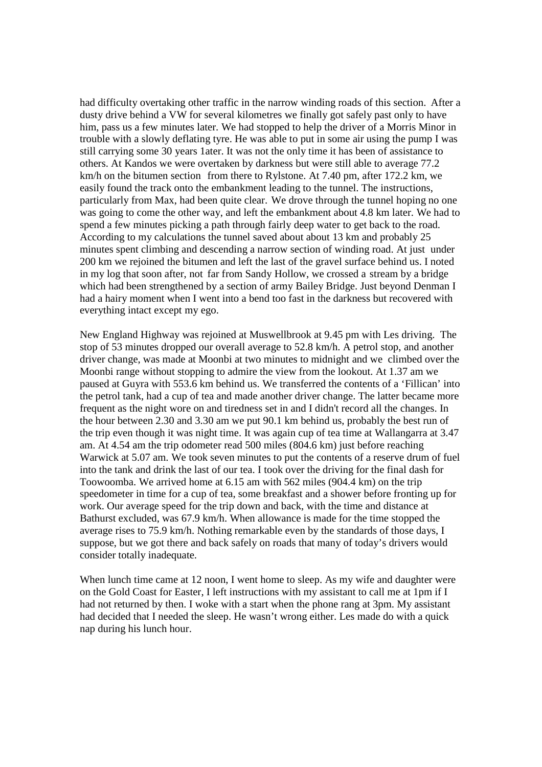had difficulty overtaking other traffic in the narrow winding roads of this section. After a dusty drive behind a VW for several kilometres we finally got safely past only to have him, pass us a few minutes later. We had stopped to help the driver of a Morris Minor in trouble with a slowly deflating tyre. He was able to put in some air using the pump I was still carrying some 30 years 1ater. It was not the only time it has been of assistance to others. At Kandos we were overtaken by darkness but were still able to average 77.2 km/h on the bitumen section from there to Rylstone. At 7.40 pm, after 172.2 km, we easily found the track onto the embankment leading to the tunnel. The instructions, particularly from Max, had been quite clear. We drove through the tunnel hoping no one was going to come the other way, and left the embankment about 4.8 km later. We had to spend a few minutes picking a path through fairly deep water to get back to the road. According to my calculations the tunnel saved about about 13 km and probably 25 minutes spent climbing and descending a narrow section of winding road. At just under 200 km we rejoined the bitumen and left the last of the gravel surface behind us. I noted in my log that soon after, not far from Sandy Hollow, we crossed a stream by a bridge which had been strengthened by a section of army Bailey Bridge. Just beyond Denman I had a hairy moment when I went into a bend too fast in the darkness but recovered with everything intact except my ego.

New England Highway was rejoined at Muswellbrook at 9.45 pm with Les driving. The stop of 53 minutes dropped our overall average to 52.8 km/h. A petrol stop, and another driver change, was made at Moonbi at two minutes to midnight and we climbed over the Moonbi range without stopping to admire the view from the lookout. At 1.37 am we paused at Guyra with 553.6 km behind us. We transferred the contents of a 'Fillican' into the petrol tank, had a cup of tea and made another driver change. The latter became more frequent as the night wore on and tiredness set in and I didn't record all the changes. In the hour between 2.30 and 3.30 am we put 90.1 km behind us, probably the best run of the trip even though it was night time. It was again cup of tea time at Wallangarra at 3.47 am. At 4.54 am the trip odometer read 500 miles (804.6 km) just before reaching Warwick at 5.07 am. We took seven minutes to put the contents of a reserve drum of fuel into the tank and drink the last of our tea. I took over the driving for the final dash for Toowoomba. We arrived home at 6.15 am with 562 miles (904.4 km) on the trip speedometer in time for a cup of tea, some breakfast and a shower before fronting up for work. Our average speed for the trip down and back, with the time and distance at Bathurst excluded, was 67.9 km/h. When allowance is made for the time stopped the average rises to 75.9 km/h. Nothing remarkable even by the standards of those days, I suppose, but we got there and back safely on roads that many of today's drivers would consider totally inadequate.

When lunch time came at 12 noon, I went home to sleep. As my wife and daughter were on the Gold Coast for Easter, I left instructions with my assistant to call me at 1pm if I had not returned by then. I woke with a start when the phone rang at 3pm. My assistant had decided that I needed the sleep. He wasn't wrong either. Les made do with a quick nap during his lunch hour.